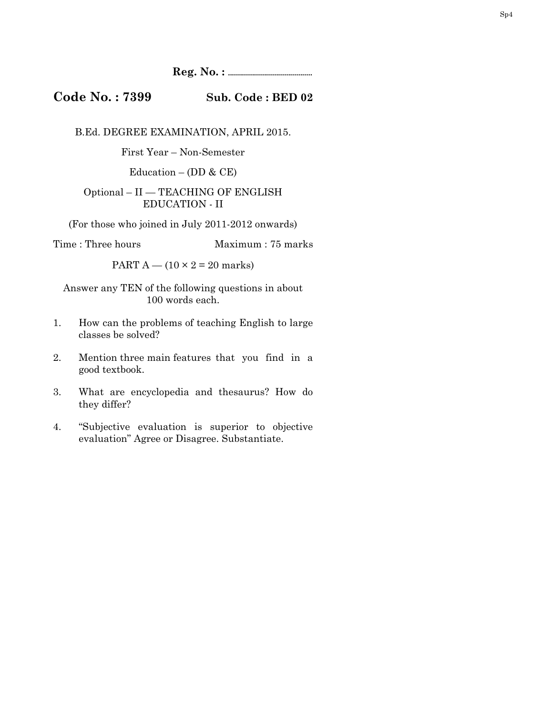**Reg. No. : ..........................................** 

**Code No. : 7399 Sub. Code : BED 02** 

B.Ed. DEGREE EXAMINATION, APRIL 2015.

First Year – Non-Semester

Education – (DD  $\&$  CE)

## Optional – II — TEACHING OF ENGLISH EDUCATION - II

(For those who joined in July 2011-2012 onwards)

Time : Three hours Maximum : 75 marks

PART  $A - (10 \times 2 = 20$  marks)

Answer any TEN of the following questions in about 100 words each.

- 1. How can the problems of teaching English to large classes be solved?
- 2. Mention three main features that you find in a good textbook.
- 3. What are encyclopedia and thesaurus? How do they differ?
- 4. "Subjective evaluation is superior to objective evaluation" Agree or Disagree. Substantiate.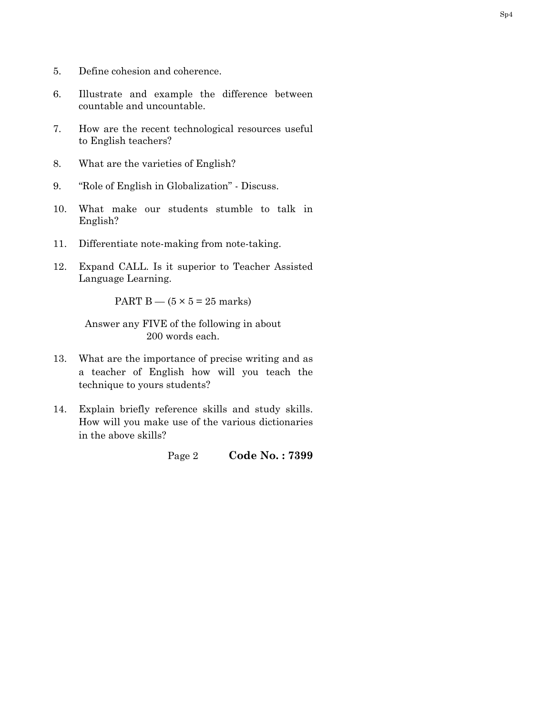- 5. Define cohesion and coherence.
- 6. Illustrate and example the difference between countable and uncountable.
- 7. How are the recent technological resources useful to English teachers?
- 8. What are the varieties of English?
- 9. "Role of English in Globalization" Discuss.
- 10. What make our students stumble to talk in English?
- 11. Differentiate note-making from note-taking.
- 12. Expand CALL. Is it superior to Teacher Assisted Language Learning.

PART B —  $(5 \times 5 = 25$  marks)

Answer any FIVE of the following in about 200 words each.

- 13. What are the importance of precise writing and as a teacher of English how will you teach the technique to yours students?
- 14. Explain briefly reference skills and study skills. How will you make use of the various dictionaries in the above skills?

Page 2 **Code No. : 7399**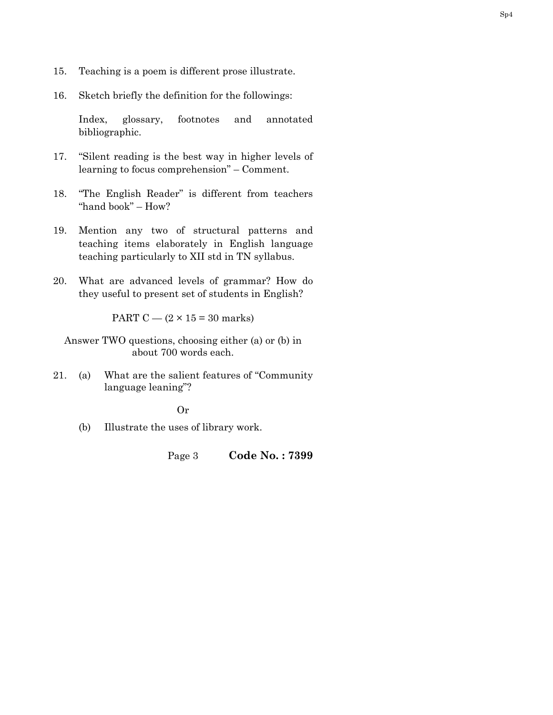- 15. Teaching is a poem is different prose illustrate.
- 16. Sketch briefly the definition for the followings:

 Index, glossary, footnotes and annotated bibliographic.

- 17. "Silent reading is the best way in higher levels of learning to focus comprehension" – Comment.
- 18. "The English Reader" is different from teachers "hand book" – How?
- 19. Mention any two of structural patterns and teaching items elaborately in English language teaching particularly to XII std in TN syllabus.
- 20. What are advanced levels of grammar? How do they useful to present set of students in English?

PART C —  $(2 \times 15 = 30 \text{ marks})$ 

Answer TWO questions, choosing either (a) or (b) in about 700 words each.

21. (a) What are the salient features of "Community language leaning"?

Or

(b) Illustrate the uses of library work.

Page 3 **Code No. : 7399**